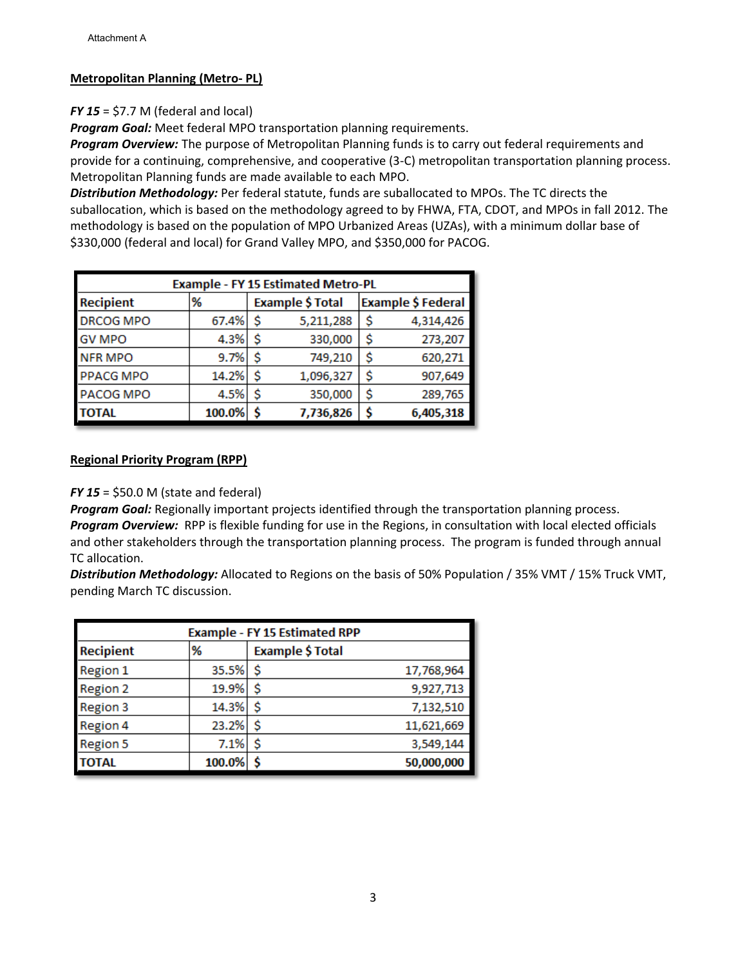## **Metropolitan Planning (Metro- PL)**

## *FY 15* = \$7.7 M (federal and local)

*Program Goal:* Meet federal MPO transportation planning requirements.

*Program Overview:* The purpose of Metropolitan Planning funds is to carry out federal requirements and provide for a continuing, comprehensive, and cooperative (3-C) metropolitan transportation planning process. Metropolitan Planning funds are made available to each MPO.

*Distribution Methodology:* Per federal statute, funds are suballocated to MPOs. The TC directs the suballocation, which is based on the methodology agreed to by FHWA, FTA, CDOT, and MPOs in fall 2012. The methodology is based on the population of MPO Urbanized Areas (UZAs), with a minimum dollar base of \$330,000 (federal and local) for Grand Valley MPO, and \$350,000 for PACOG.

| <b>Example - FY 15 Estimated Metro-PL</b> |        |    |                         |  |                    |  |
|-------------------------------------------|--------|----|-------------------------|--|--------------------|--|
| <b>Recipient</b>                          | %      |    | <b>Example \$ Total</b> |  | Example \$ Federal |  |
| <b>DRCOG MPO</b>                          | 67.4%  | s  | 5,211,288               |  | 4,314,426          |  |
| <b>GV MPO</b>                             | 4.3%   | Ŝ  | 330,000                 |  | 273,207            |  |
| <b>NFR MPO</b>                            | 9.7%   | \$ | 749,210                 |  | 620,271            |  |
| <b>PPACG MPO</b>                          | 14.2%  | Ś  | 1,096,327               |  | 907,649            |  |
| PACOG MPO                                 | 4.5%   | Ś  | 350,000                 |  | 289,765            |  |
| TOTAL                                     | 100.0% | Ś  | 7,736,826               |  | 6,405,318          |  |

## **Regional Priority Program (RPP)**

#### *FY 15* = \$50.0 M (state and federal)

*Program Goal:* Regionally important projects identified through the transportation planning process. *Program Overview:* RPP is flexible funding for use in the Regions, in consultation with local elected officials and other stakeholders through the transportation planning process. The program is funded through annual TC allocation.

*Distribution Methodology:* Allocated to Regions on the basis of 50% Population / 35% VMT / 15% Truck VMT, pending March TC discussion.

| <b>Example - FY 15 Estimated RPP</b> |        |                  |            |  |  |
|--------------------------------------|--------|------------------|------------|--|--|
| <b>Recipient</b>                     | %      | Example \$ Total |            |  |  |
| <b>Region 1</b>                      | 35.5%  | \$.              | 17,768,964 |  |  |
| <b>Region 2</b>                      | 19.9%  | \$               | 9,927,713  |  |  |
| Region 3                             | 14.3%  | Ś                | 7,132,510  |  |  |
| Region 4                             | 23.2%  | \$               | 11,621,669 |  |  |
| <b>Region 5</b>                      | 7.1%   | \$               | 3,549,144  |  |  |
| <b>TOTAL</b>                         | 100.0% |                  | 50,000,000 |  |  |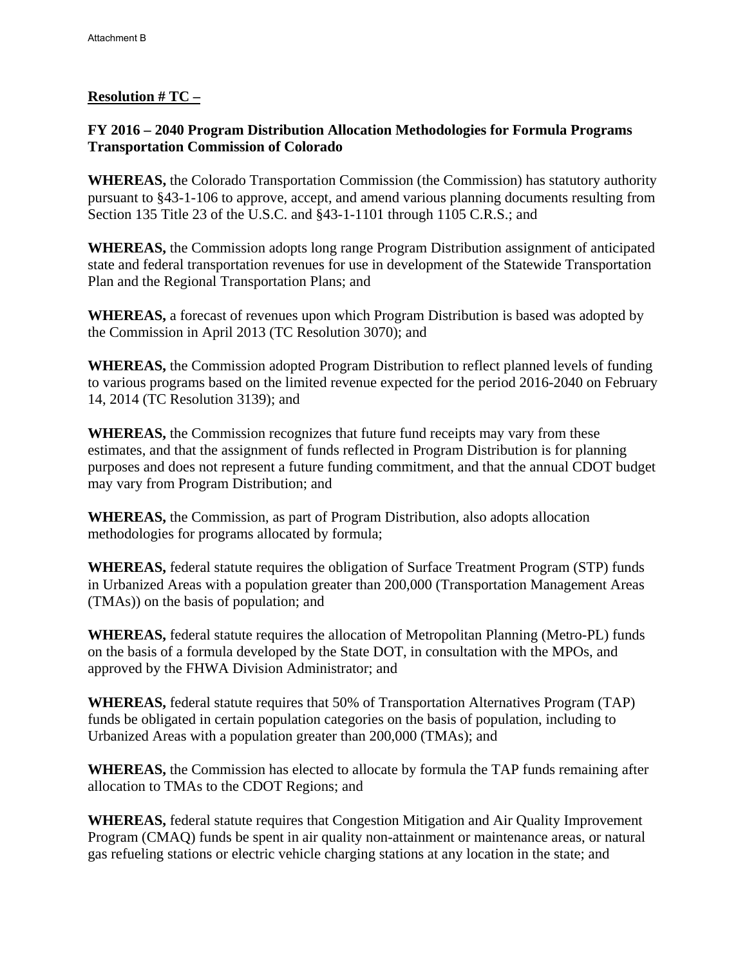# **Resolution # TC –**

## **FY 2016 – 2040 Program Distribution Allocation Methodologies for Formula Programs Transportation Commission of Colorado**

**WHEREAS,** the Colorado Transportation Commission (the Commission) has statutory authority pursuant to §43-1-106 to approve, accept, and amend various planning documents resulting from Section 135 Title 23 of the U.S.C. and §43-1-1101 through 1105 C.R.S.; and

**WHEREAS,** the Commission adopts long range Program Distribution assignment of anticipated state and federal transportation revenues for use in development of the Statewide Transportation Plan and the Regional Transportation Plans; and

**WHEREAS,** a forecast of revenues upon which Program Distribution is based was adopted by the Commission in April 2013 (TC Resolution 3070); and

**WHEREAS,** the Commission adopted Program Distribution to reflect planned levels of funding to various programs based on the limited revenue expected for the period 2016-2040 on February 14, 2014 (TC Resolution 3139); and

**WHEREAS,** the Commission recognizes that future fund receipts may vary from these estimates, and that the assignment of funds reflected in Program Distribution is for planning purposes and does not represent a future funding commitment, and that the annual CDOT budget may vary from Program Distribution; and

**WHEREAS,** the Commission, as part of Program Distribution, also adopts allocation methodologies for programs allocated by formula;

**WHEREAS,** federal statute requires the obligation of Surface Treatment Program (STP) funds in Urbanized Areas with a population greater than 200,000 (Transportation Management Areas (TMAs)) on the basis of population; and

**WHEREAS,** federal statute requires the allocation of Metropolitan Planning (Metro-PL) funds on the basis of a formula developed by the State DOT, in consultation with the MPOs, and approved by the FHWA Division Administrator; and

**WHEREAS,** federal statute requires that 50% of Transportation Alternatives Program (TAP) funds be obligated in certain population categories on the basis of population, including to Urbanized Areas with a population greater than 200,000 (TMAs); and

**WHEREAS,** the Commission has elected to allocate by formula the TAP funds remaining after allocation to TMAs to the CDOT Regions; and

**WHEREAS,** federal statute requires that Congestion Mitigation and Air Quality Improvement Program (CMAQ) funds be spent in air quality non-attainment or maintenance areas, or natural gas refueling stations or electric vehicle charging stations at any location in the state; and